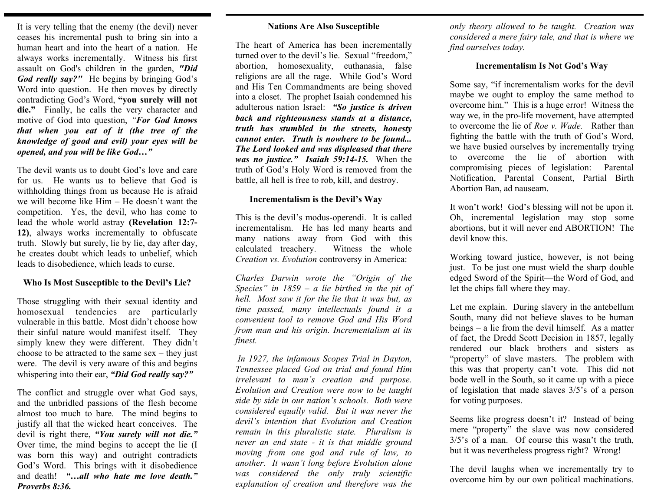It is very telling that the enemy (the devil) never ceases his incremental push to bring sin into a human heart and into the heart of a nation. He always works incrementally. Witness his first assault on God's children in the garden, *"Did God really say?"* He begins by bringing God's Word into question. He then moves by directly contradicting God's Word, **"you surely will not**  die." Finally, he calls the very character and motive of God into question, *"For God knows that when you eat of it (the tree of the knowledge of good and evil) your eyes will be opened, and you will be like God…"* 

The devil wants us to doubt God's love and care for us. He wants us to believe that God is withholding things from us because He is afraid we will become like Him – He doesn't want the competition. Yes, the devil, who has come to lead the whole world astray **(Revelation 12:7- 12)**, always works incrementally to obfuscate truth. Slowly but surely, lie by lie, day after day, he creates doubt which leads to unbelief, which leads to disobedience, which leads to curse.

## **Who Is Most Susceptible to the Devil's Lie?**

Those struggling with their sexual identity and homosexual tendencies are particularly vulnerable in this battle. Most didn't choose how their sinful nature would manifest itself. They simply knew they were different. They didn't choose to be attracted to the same sex – they just were. The devil is very aware of this and begins whispering into their ear, *"Did God really say?"*

The conflict and struggle over what God says, and the unbridled passions of the flesh become almost too much to bare. The mind begins to justify all that the wicked heart conceives. The devil is right there, *"You surely will not die."*  Over time, the mind begins to accept the lie (I was born this way) and outright contradicts God's Word. This brings with it disobedience and death! *"…all who hate me love death." Proverbs 8:36.* 

### **Nations Are Also Susceptible**

The heart of America has been incrementally turned over to the devil's lie. Sexual "freedom," abortion, homosexuality, euthanasia, false religions are all the rage. While God's Word and His Ten Commandments are being shoved into a closet. The prophet Isaiah condemned his adulterous nation Israel: *"So justice is driven back and righteousness stands at a distance, truth has stumbled in the streets, honesty cannot enter. Truth is nowhere to be found... The Lord looked and was displeased that there was no justice." Isaiah 59:14-15.* When the truth of God's Holy Word is removed from the battle, all hell is free to rob, kill, and destroy.

#### **Incrementalism is the Devil's Way**

This is the devil's modus-operendi. It is called incrementalism. He has led many hearts and many nations away from God with this calculated treachery. Witness the whole *Creation vs. Evolution* controversy in America:

*Charles Darwin wrote the "Origin of the Species" in 1859 – a lie birthed in the pit of hell. Most saw it for the lie that it was but, as time passed, many intellectuals found it a convenient tool to remove God and His Word from man and his origin. Incrementalism at its finest.* 

 *In 1927, the infamous Scopes Trial in Dayton, Tennessee placed God on trial and found Him irrelevant to man's creation and purpose. Evolution and Creation were now to be taught side by side in our nation's schools. Both were considered equally valid. But it was never the devil's intention that Evolution and Creation remain in this pluralistic state. Pluralism is never an end state - it is that middle ground moving from one god and rule of law, to another. It wasn't long before Evolution alone was considered the only truly scientific explanation of creation and therefore was the* 

*only theory allowed to be taught. Creation was considered a mere fairy tale, and that is where we find ourselves today.* 

### **Incrementalism Is Not God's Way**

Some say, "if incrementalism works for the devil maybe we ought to employ the same method to overcome him." This is a huge error! Witness the way we, in the pro-life movement, have attempted to overcome the lie of *Roe v. Wade.* Rather than fighting the battle with the truth of God's Word, we have busied ourselves by incrementally trying to overcome the lie of abortion with compromising pieces of legislation: Parental Notification, Parental Consent, Partial Birth Abortion Ban, ad nauseam.

It won't work! God's blessing will not be upon it. Oh, incremental legislation may stop some abortions, but it will never end ABORTION! The devil know this.

Working toward justice, however, is not being just. To be just one must wield the sharp double edged Sword of the Spirit—the Word of God, and let the chips fall where they may.

Let me explain. During slavery in the antebellum South, many did not believe slaves to be human beings – a lie from the devil himself. As a matter of fact, the Dredd Scott Decision in 1857, legally rendered our black brothers and sisters as "property" of slave masters. The problem with this was that property can't vote. This did not bode well in the South, so it came up with a piece of legislation that made slaves 3/5's of a person for voting purposes.

Seems like progress doesn't it? Instead of being mere "property" the slave was now considered 3/5's of a man. Of course this wasn't the truth, but it was nevertheless progress right? Wrong!

The devil laughs when we incrementally try to overcome him by our own political machinations.